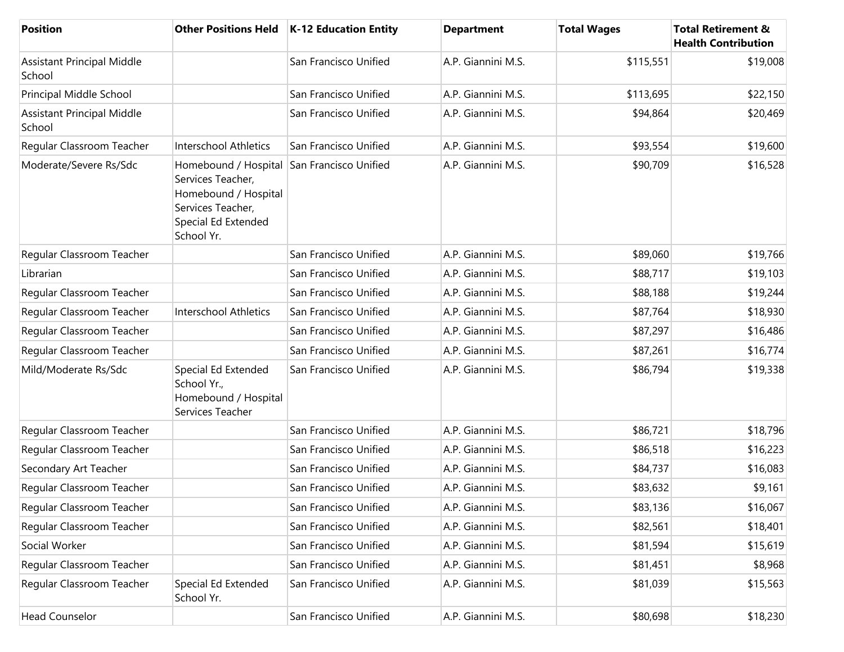| Position                                    | <b>Other Positions Held</b>                                                                                                                       | K-12 Education Entity | <b>Department</b>  | <b>Total Wages</b> | <b>Total Retirement &amp;</b><br><b>Health Contribution</b> |
|---------------------------------------------|---------------------------------------------------------------------------------------------------------------------------------------------------|-----------------------|--------------------|--------------------|-------------------------------------------------------------|
| <b>Assistant Principal Middle</b><br>School |                                                                                                                                                   | San Francisco Unified | A.P. Giannini M.S. | \$115,551          | \$19,008                                                    |
| Principal Middle School                     |                                                                                                                                                   | San Francisco Unified | A.P. Giannini M.S. | \$113,695          | \$22,150                                                    |
| <b>Assistant Principal Middle</b><br>School |                                                                                                                                                   | San Francisco Unified | A.P. Giannini M.S. | \$94,864           | \$20,469                                                    |
| Regular Classroom Teacher                   | Interschool Athletics                                                                                                                             | San Francisco Unified | A.P. Giannini M.S. | \$93,554           | \$19,600                                                    |
| Moderate/Severe Rs/Sdc                      | Homebound / Hospital San Francisco Unified<br>Services Teacher,<br>Homebound / Hospital<br>Services Teacher,<br>Special Ed Extended<br>School Yr. |                       | A.P. Giannini M.S. | \$90,709           | \$16,528                                                    |
| Regular Classroom Teacher                   |                                                                                                                                                   | San Francisco Unified | A.P. Giannini M.S. | \$89,060           | \$19,766                                                    |
| Librarian                                   |                                                                                                                                                   | San Francisco Unified | A.P. Giannini M.S. | \$88,717           | \$19,103                                                    |
| Regular Classroom Teacher                   |                                                                                                                                                   | San Francisco Unified | A.P. Giannini M.S. | \$88,188           | \$19,244                                                    |
| Regular Classroom Teacher                   | Interschool Athletics                                                                                                                             | San Francisco Unified | A.P. Giannini M.S. | \$87,764           | \$18,930                                                    |
| Regular Classroom Teacher                   |                                                                                                                                                   | San Francisco Unified | A.P. Giannini M.S. | \$87,297           | \$16,486                                                    |
| Regular Classroom Teacher                   |                                                                                                                                                   | San Francisco Unified | A.P. Giannini M.S. | \$87,261           | \$16,774                                                    |
| Mild/Moderate Rs/Sdc                        | Special Ed Extended<br>School Yr.,<br>Homebound / Hospital<br>Services Teacher                                                                    | San Francisco Unified | A.P. Giannini M.S. | \$86,794           | \$19,338                                                    |
| Regular Classroom Teacher                   |                                                                                                                                                   | San Francisco Unified | A.P. Giannini M.S. | \$86,721           | \$18,796                                                    |
| Regular Classroom Teacher                   |                                                                                                                                                   | San Francisco Unified | A.P. Giannini M.S. | \$86,518           | \$16,223                                                    |
| Secondary Art Teacher                       |                                                                                                                                                   | San Francisco Unified | A.P. Giannini M.S. | \$84,737           | \$16,083                                                    |
| Regular Classroom Teacher                   |                                                                                                                                                   | San Francisco Unified | A.P. Giannini M.S. | \$83,632           | \$9,161                                                     |
| Regular Classroom Teacher                   |                                                                                                                                                   | San Francisco Unified | A.P. Giannini M.S. | \$83,136           | \$16,067                                                    |
| Regular Classroom Teacher                   |                                                                                                                                                   | San Francisco Unified | A.P. Giannini M.S. | \$82,561           | \$18,401                                                    |
| Social Worker                               |                                                                                                                                                   | San Francisco Unified | A.P. Giannini M.S. | \$81,594           | \$15,619                                                    |
| Regular Classroom Teacher                   |                                                                                                                                                   | San Francisco Unified | A.P. Giannini M.S. | \$81,451           | \$8,968                                                     |
| Regular Classroom Teacher                   | Special Ed Extended<br>School Yr.                                                                                                                 | San Francisco Unified | A.P. Giannini M.S. | \$81,039           | \$15,563                                                    |
| <b>Head Counselor</b>                       |                                                                                                                                                   | San Francisco Unified | A.P. Giannini M.S. | \$80,698           | \$18,230                                                    |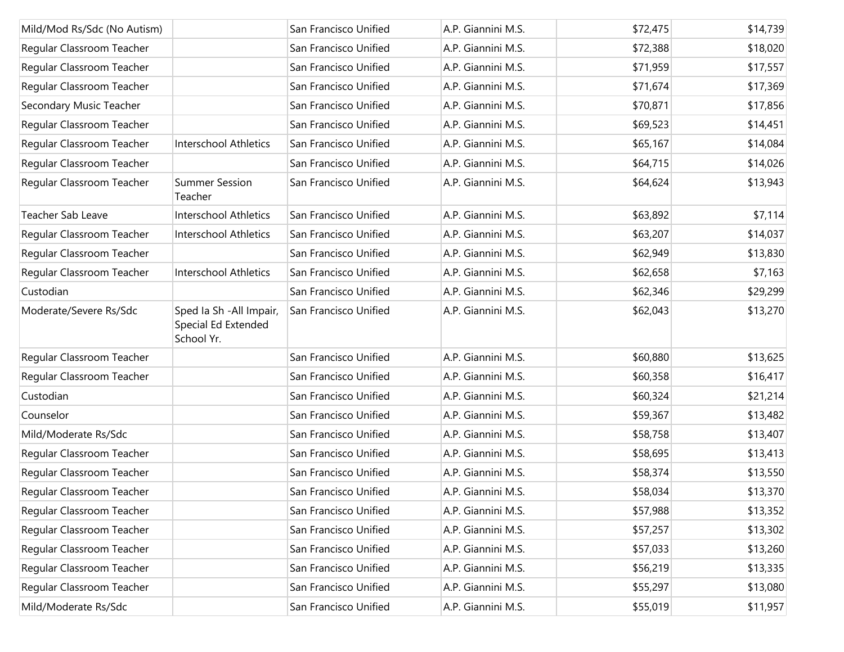| Mild/Mod Rs/Sdc (No Autism) |                                                               | San Francisco Unified | A.P. Giannini M.S. | \$72,475 | \$14,739 |
|-----------------------------|---------------------------------------------------------------|-----------------------|--------------------|----------|----------|
| Regular Classroom Teacher   |                                                               | San Francisco Unified | A.P. Giannini M.S. | \$72,388 | \$18,020 |
| Regular Classroom Teacher   |                                                               | San Francisco Unified | A.P. Giannini M.S. | \$71,959 | \$17,557 |
| Regular Classroom Teacher   |                                                               | San Francisco Unified | A.P. Giannini M.S. | \$71,674 | \$17,369 |
| Secondary Music Teacher     |                                                               | San Francisco Unified | A.P. Giannini M.S. | \$70,871 | \$17,856 |
| Regular Classroom Teacher   |                                                               | San Francisco Unified | A.P. Giannini M.S. | \$69,523 | \$14,451 |
| Regular Classroom Teacher   | <b>Interschool Athletics</b>                                  | San Francisco Unified | A.P. Giannini M.S. | \$65,167 | \$14,084 |
| Regular Classroom Teacher   |                                                               | San Francisco Unified | A.P. Giannini M.S. | \$64,715 | \$14,026 |
| Regular Classroom Teacher   | <b>Summer Session</b><br>Teacher                              | San Francisco Unified | A.P. Giannini M.S. | \$64,624 | \$13,943 |
| Teacher Sab Leave           | <b>Interschool Athletics</b>                                  | San Francisco Unified | A.P. Giannini M.S. | \$63,892 | \$7,114  |
| Regular Classroom Teacher   | Interschool Athletics                                         | San Francisco Unified | A.P. Giannini M.S. | \$63,207 | \$14,037 |
| Regular Classroom Teacher   |                                                               | San Francisco Unified | A.P. Giannini M.S. | \$62,949 | \$13,830 |
| Regular Classroom Teacher   | <b>Interschool Athletics</b>                                  | San Francisco Unified | A.P. Giannini M.S. | \$62,658 | \$7,163  |
| Custodian                   |                                                               | San Francisco Unified | A.P. Giannini M.S. | \$62,346 | \$29,299 |
| Moderate/Severe Rs/Sdc      | Sped Ia Sh - All Impair,<br>Special Ed Extended<br>School Yr. | San Francisco Unified | A.P. Giannini M.S. | \$62,043 | \$13,270 |
| Regular Classroom Teacher   |                                                               | San Francisco Unified | A.P. Giannini M.S. | \$60,880 | \$13,625 |
| Regular Classroom Teacher   |                                                               | San Francisco Unified | A.P. Giannini M.S. | \$60,358 | \$16,417 |
| Custodian                   |                                                               | San Francisco Unified | A.P. Giannini M.S. | \$60,324 | \$21,214 |
| Counselor                   |                                                               | San Francisco Unified | A.P. Giannini M.S. | \$59,367 | \$13,482 |
| Mild/Moderate Rs/Sdc        |                                                               | San Francisco Unified | A.P. Giannini M.S. | \$58,758 | \$13,407 |
| Regular Classroom Teacher   |                                                               | San Francisco Unified | A.P. Giannini M.S. | \$58,695 | \$13,413 |
| Regular Classroom Teacher   |                                                               | San Francisco Unified | A.P. Giannini M.S. | \$58,374 | \$13,550 |
| Regular Classroom Teacher   |                                                               | San Francisco Unified | A.P. Giannini M.S. | \$58,034 | \$13,370 |
| Regular Classroom Teacher   |                                                               | San Francisco Unified | A.P. Giannini M.S. | \$57,988 | \$13,352 |
| Regular Classroom Teacher   |                                                               | San Francisco Unified | A.P. Giannini M.S. | \$57,257 | \$13,302 |
| Regular Classroom Teacher   |                                                               | San Francisco Unified | A.P. Giannini M.S. | \$57,033 | \$13,260 |
| Regular Classroom Teacher   |                                                               | San Francisco Unified | A.P. Giannini M.S. | \$56,219 | \$13,335 |
| Regular Classroom Teacher   |                                                               | San Francisco Unified | A.P. Giannini M.S. | \$55,297 | \$13,080 |
| Mild/Moderate Rs/Sdc        |                                                               | San Francisco Unified | A.P. Giannini M.S. | \$55,019 | \$11,957 |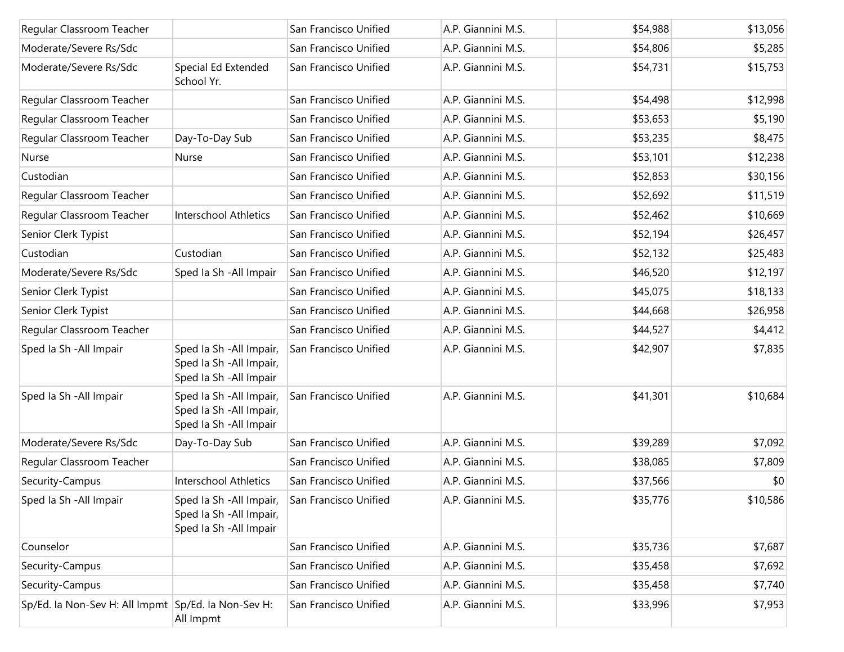| Regular Classroom Teacher                           |                                                                                 | San Francisco Unified | A.P. Giannini M.S. | \$54,988 | \$13,056 |
|-----------------------------------------------------|---------------------------------------------------------------------------------|-----------------------|--------------------|----------|----------|
| Moderate/Severe Rs/Sdc                              |                                                                                 | San Francisco Unified | A.P. Giannini M.S. | \$54,806 | \$5,285  |
| Moderate/Severe Rs/Sdc                              | Special Ed Extended<br>School Yr.                                               | San Francisco Unified | A.P. Giannini M.S. | \$54,731 | \$15,753 |
| Regular Classroom Teacher                           |                                                                                 | San Francisco Unified | A.P. Giannini M.S. | \$54,498 | \$12,998 |
| Regular Classroom Teacher                           |                                                                                 | San Francisco Unified | A.P. Giannini M.S. | \$53,653 | \$5,190  |
| Regular Classroom Teacher                           | Day-To-Day Sub                                                                  | San Francisco Unified | A.P. Giannini M.S. | \$53,235 | \$8,475  |
| Nurse                                               | Nurse                                                                           | San Francisco Unified | A.P. Giannini M.S. | \$53,101 | \$12,238 |
| Custodian                                           |                                                                                 | San Francisco Unified | A.P. Giannini M.S. | \$52,853 | \$30,156 |
| Regular Classroom Teacher                           |                                                                                 | San Francisco Unified | A.P. Giannini M.S. | \$52,692 | \$11,519 |
| Regular Classroom Teacher                           | Interschool Athletics                                                           | San Francisco Unified | A.P. Giannini M.S. | \$52,462 | \$10,669 |
| Senior Clerk Typist                                 |                                                                                 | San Francisco Unified | A.P. Giannini M.S. | \$52,194 | \$26,457 |
| Custodian                                           | Custodian                                                                       | San Francisco Unified | A.P. Giannini M.S. | \$52,132 | \$25,483 |
| Moderate/Severe Rs/Sdc                              | Sped Ia Sh - All Impair                                                         | San Francisco Unified | A.P. Giannini M.S. | \$46,520 | \$12,197 |
| Senior Clerk Typist                                 |                                                                                 | San Francisco Unified | A.P. Giannini M.S. | \$45,075 | \$18,133 |
| Senior Clerk Typist                                 |                                                                                 | San Francisco Unified | A.P. Giannini M.S. | \$44,668 | \$26,958 |
| Regular Classroom Teacher                           |                                                                                 | San Francisco Unified | A.P. Giannini M.S. | \$44,527 | \$4,412  |
| Sped Ia Sh - All Impair                             | Sped Ia Sh - All Impair,<br>Sped Ia Sh - All Impair,<br>Sped Ia Sh - All Impair | San Francisco Unified | A.P. Giannini M.S. | \$42,907 | \$7,835  |
| Sped Ia Sh - All Impair                             | Sped Ia Sh - All Impair,<br>Sped Ia Sh - All Impair,<br>Sped Ia Sh - All Impair | San Francisco Unified | A.P. Giannini M.S. | \$41,301 | \$10,684 |
| Moderate/Severe Rs/Sdc                              | Day-To-Day Sub                                                                  | San Francisco Unified | A.P. Giannini M.S. | \$39,289 | \$7,092  |
| Regular Classroom Teacher                           |                                                                                 | San Francisco Unified | A.P. Giannini M.S. | \$38,085 | \$7,809  |
| Security-Campus                                     | <b>Interschool Athletics</b>                                                    | San Francisco Unified | A.P. Giannini M.S. | \$37,566 | \$0      |
| Sped Ia Sh - All Impair                             | Sped Ia Sh - All Impair,<br>Sped Ia Sh - All Impair,<br>Sped Ia Sh - All Impair | San Francisco Unified | A.P. Giannini M.S. | \$35,776 | \$10,586 |
| Counselor                                           |                                                                                 | San Francisco Unified | A.P. Giannini M.S. | \$35,736 | \$7,687  |
| Security-Campus                                     |                                                                                 | San Francisco Unified | A.P. Giannini M.S. | \$35,458 | \$7,692  |
| Security-Campus                                     |                                                                                 | San Francisco Unified | A.P. Giannini M.S. | \$35,458 | \$7,740  |
| Sp/Ed. la Non-Sev H: All Impmt Sp/Ed. la Non-Sev H: | All Impmt                                                                       | San Francisco Unified | A.P. Giannini M.S. | \$33,996 | \$7,953  |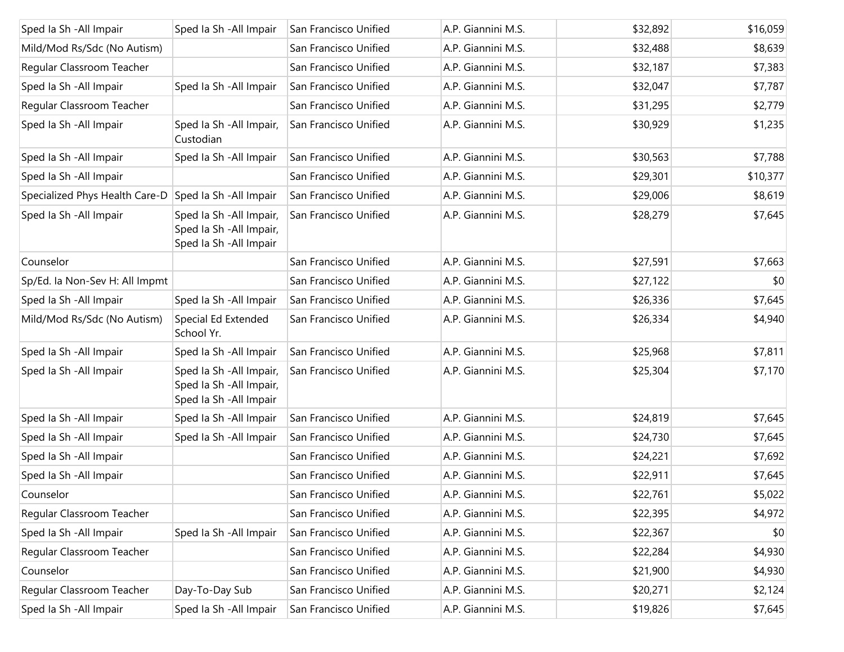| Sped Ia Sh - All Impair        | Sped Ia Sh - All Impair                                                         | San Francisco Unified | A.P. Giannini M.S. | \$32,892 | \$16,059 |
|--------------------------------|---------------------------------------------------------------------------------|-----------------------|--------------------|----------|----------|
| Mild/Mod Rs/Sdc (No Autism)    |                                                                                 | San Francisco Unified | A.P. Giannini M.S. | \$32,488 | \$8,639  |
| Regular Classroom Teacher      |                                                                                 | San Francisco Unified | A.P. Giannini M.S. | \$32,187 | \$7,383  |
| Sped Ia Sh - All Impair        | Sped Ia Sh - All Impair                                                         | San Francisco Unified | A.P. Giannini M.S. | \$32,047 | \$7,787  |
| Regular Classroom Teacher      |                                                                                 | San Francisco Unified | A.P. Giannini M.S. | \$31,295 | \$2,779  |
| Sped Ia Sh - All Impair        | Sped la Sh - All Impair,<br>Custodian                                           | San Francisco Unified | A.P. Giannini M.S. | \$30,929 | \$1,235  |
| Sped Ia Sh - All Impair        | Sped Ia Sh - All Impair                                                         | San Francisco Unified | A.P. Giannini M.S. | \$30,563 | \$7,788  |
| Sped Ia Sh - All Impair        |                                                                                 | San Francisco Unified | A.P. Giannini M.S. | \$29,301 | \$10,377 |
| Specialized Phys Health Care-D | Sped la Sh - All Impair                                                         | San Francisco Unified | A.P. Giannini M.S. | \$29,006 | \$8,619  |
| Sped Ia Sh - All Impair        | Sped Ia Sh - All Impair,<br>Sped Ia Sh - All Impair,<br>Sped Ia Sh - All Impair | San Francisco Unified | A.P. Giannini M.S. | \$28,279 | \$7,645  |
| Counselor                      |                                                                                 | San Francisco Unified | A.P. Giannini M.S. | \$27,591 | \$7,663  |
| Sp/Ed. la Non-Sev H: All Impmt |                                                                                 | San Francisco Unified | A.P. Giannini M.S. | \$27,122 | \$0      |
| Sped Ia Sh - All Impair        | Sped la Sh - All Impair                                                         | San Francisco Unified | A.P. Giannini M.S. | \$26,336 | \$7,645  |
| Mild/Mod Rs/Sdc (No Autism)    | Special Ed Extended<br>School Yr.                                               | San Francisco Unified | A.P. Giannini M.S. | \$26,334 | \$4,940  |
| Sped Ia Sh - All Impair        | Sped la Sh - All Impair                                                         | San Francisco Unified | A.P. Giannini M.S. | \$25,968 | \$7,811  |
| Sped Ia Sh - All Impair        | Sped Ia Sh - All Impair,<br>Sped Ia Sh - All Impair,<br>Sped Ia Sh - All Impair | San Francisco Unified | A.P. Giannini M.S. | \$25,304 | \$7,170  |
| Sped Ia Sh - All Impair        | Sped la Sh - All Impair                                                         | San Francisco Unified | A.P. Giannini M.S. | \$24,819 | \$7,645  |
| Sped la Sh - All Impair        | Sped Ia Sh - All Impair                                                         | San Francisco Unified | A.P. Giannini M.S. | \$24,730 | \$7,645  |
| Sped la Sh - All Impair        |                                                                                 | San Francisco Unified | A.P. Giannini M.S. | \$24,221 | \$7,692  |
| Sped la Sh - All Impair        |                                                                                 | San Francisco Unified | A.P. Giannini M.S. | \$22,911 | \$7,645  |
| Counselor                      |                                                                                 | San Francisco Unified | A.P. Giannini M.S. | \$22,761 | \$5,022  |
| Regular Classroom Teacher      |                                                                                 | San Francisco Unified | A.P. Giannini M.S. | \$22,395 | \$4,972  |
| Sped Ia Sh - All Impair        | Sped Ia Sh - All Impair                                                         | San Francisco Unified | A.P. Giannini M.S. | \$22,367 | \$0      |
| Regular Classroom Teacher      |                                                                                 | San Francisco Unified | A.P. Giannini M.S. | \$22,284 | \$4,930  |
| Counselor                      |                                                                                 | San Francisco Unified | A.P. Giannini M.S. | \$21,900 | \$4,930  |
| Regular Classroom Teacher      | Day-To-Day Sub                                                                  | San Francisco Unified | A.P. Giannini M.S. | \$20,271 | \$2,124  |
| Sped Ia Sh - All Impair        | Sped Ia Sh - All Impair                                                         | San Francisco Unified | A.P. Giannini M.S. | \$19,826 | \$7,645  |